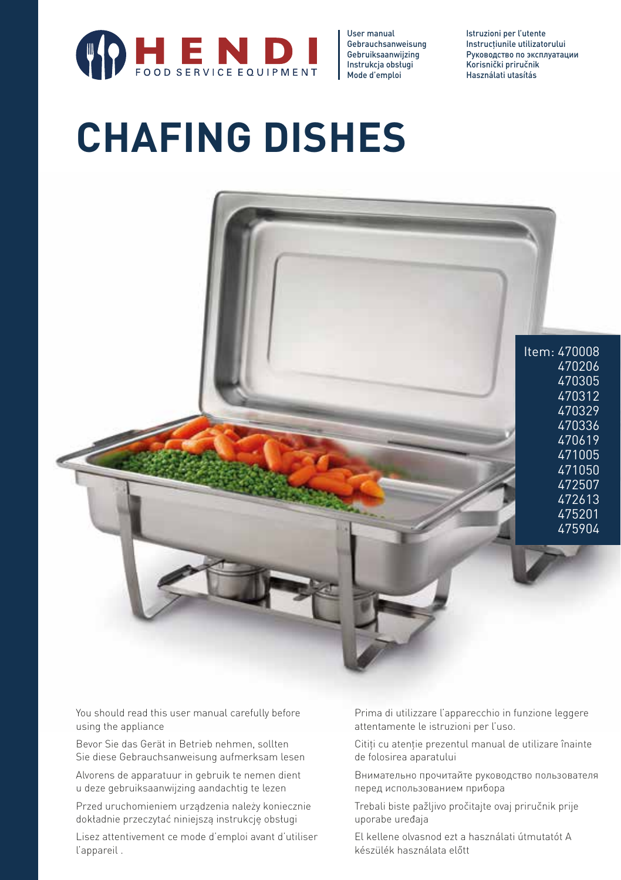

User manual Gebrauchsanweisung Gebruiksaanwijzing Instrukcja obsługi Mode d'emploi Istruzioni per l'utente Instructiunile utilizatorului Руководство по эксплуатации Korisnički priručnik Használati utasítás

# **CHAFING DISHES**



You should read this user manual carefully before using the appliance

Bevor Sie das Gerät in Betrieb nehmen, sollten Sie diese Gebrauchsanweisung aufmerksam lesen

Alvorens de apparatuur in gebruik te nemen dient u deze gebruiksaanwijzing aandachtig te lezen

Przed uruchomieniem urządzenia należy koniecznie dokładnie przeczytać niniejszą instrukcję obsługi

Lisez attentivement ce mode d'emploi avant d'utiliser l'appareil .

Prima di utilizzare l'apparecchio in funzione leggere attentamente le istruzioni per l'uso.

Citiți cu atenție prezentul manual de utilizare înainte de folosirea aparatului

Внимательно прочитайте руководство пользователя перед использованием прибора

Trebali biste pažljivo pročitajte ovaj priručnik prije uporabe uređaja

El kellene olvasnod ezt a használati útmutatót A készülék használata előtt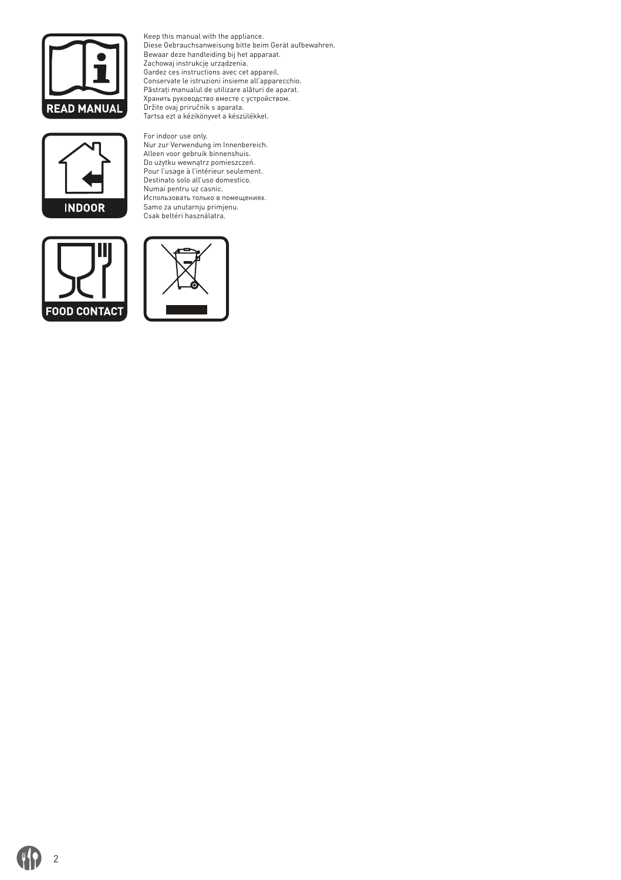

Keep this manual with the appliance.<br>Diese Gebrauchsanweisung bitte beim Gerät aufbewahren.<br>Bewaar deze handleiding bij het apparaat.<br>Zachowaj instrukcje urządzenia.<br>Gardez ces instructions avec cet appareil.<br>Conservate le Păstraţi manualul de utilizare alături de aparat. Хранить руководство вместе с устройством. Držite ovaj priručnik s aparata. Tartsa ezt a kézikönyvet a készülékkel.





For indoor use only. Nur zur Verwendung im Innenbereich. Alleen voor gebruik binnenshuis. Do użytku wewnątrz pomieszczeń. Pour l'usage à l'intérieur seulement. Destinato solo all'uso domestico. Numai pentru uz casnic. Использовать только в помещениях. Samo za unutarnju primjenu. Csak beltéri használatra.



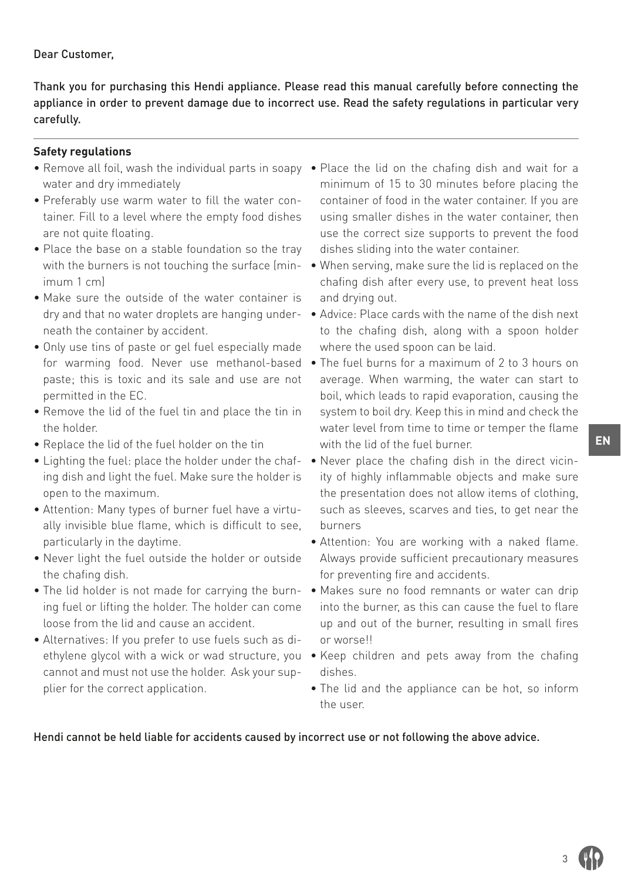# Dear Customer,

Thank you for purchasing this Hendi appliance. Please read this manual carefully before connecting the appliance in order to prevent damage due to incorrect use. Read the safety regulations in particular very carefully.

# **Safety regulations**

- water and dry immediately
- Preferably use warm water to fill the water container. Fill to a level where the empty food dishes are not quite floating.
- Place the base on a stable foundation so the tray imum 1 cm)
- Make sure the outside of the water container is dry and that no water droplets are hanging underneath the container by accident.
- Only use tins of paste or gel fuel especially made for warming food. Never use methanol-based paste; this is toxic and its sale and use are not permitted in the EC.
- Remove the lid of the fuel tin and place the tin in the holder.
- Replace the lid of the fuel holder on the tin
- Lighting the fuel: place the holder under the chafing dish and light the fuel. Make sure the holder is open to the maximum.
- Attention: Many types of burner fuel have a virtually invisible blue flame, which is difficult to see, particularly in the daytime.
- Never light the fuel outside the holder or outside the chafing dish.
- ing fuel or lifting the holder. The holder can come loose from the lid and cause an accident.
- Alternatives: If you prefer to use fuels such as dicannot and must not use the holder. Ask your supplier for the correct application.
- Remove all foil, wash the individual parts in soapy Place the lid on the chafing dish and wait for a minimum of 15 to 30 minutes before placing the container of food in the water container. If you are using smaller dishes in the water container, then use the correct size supports to prevent the food dishes sliding into the water container.
	- with the burners is not touching the surface (min-• When serving, make sure the lid is replaced on the chafing dish after every use, to prevent heat loss and drying out.
		- Advice: Place cards with the name of the dish next to the chafing dish, along with a spoon holder where the used spoon can be laid.
		- The fuel burns for a maximum of 2 to 3 hours on average. When warming, the water can start to boil, which leads to rapid evaporation, causing the system to boil dry. Keep this in mind and check the water level from time to time or temper the flame with the lid of the fuel burner.
		- Never place the chafing dish in the direct vicinity of highly inflammable objects and make sure the presentation does not allow items of clothing, such as sleeves, scarves and ties, to get near the burners
		- Attention: You are working with a naked flame. Always provide sufficient precautionary measures for preventing fire and accidents.
- The lid holder is not made for carrying the burn-• Makes sure no food remnants or water can drip into the burner, as this can cause the fuel to flare up and out of the burner, resulting in small fires or worse!!
	- ethylene glycol with a wick or wad structure, you Keep children and pets away from the chafing dishes.
		- The lid and the appliance can be hot, so inform the user.

Hendi cannot be held liable for accidents caused by incorrect use or not following the above advice.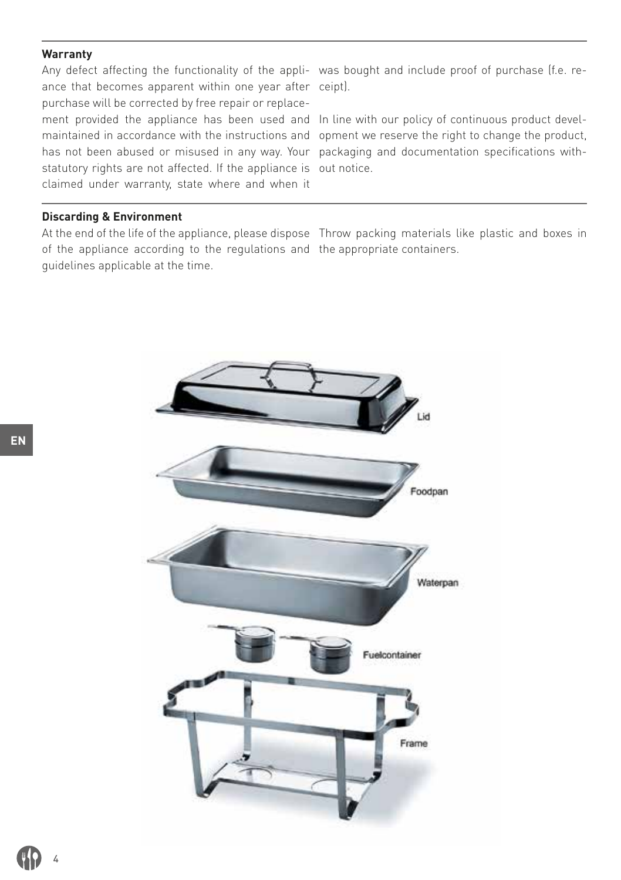#### **Warranty**

Any defect affecting the functionality of the appli-was bought and include proof of purchase (f.e. reance that becomes apparent within one year after ceipt). purchase will be corrected by free repair or replacement provided the appliance has been used and In line with our policy of continuous product develmaintained in accordance with the instructions and opment we reserve the right to change the product, has not been abused or misused in any way. Your packaging and documentation specifications withstatutory rights are not affected. If the appliance is out notice. claimed under warranty, state where and when it

#### **Discarding & Environment**

At the end of the life of the appliance, please dispose Throw packing materials like plastic and boxes in of the appliance according to the regulations and the appropriate containers.guidelines applicable at the time.



4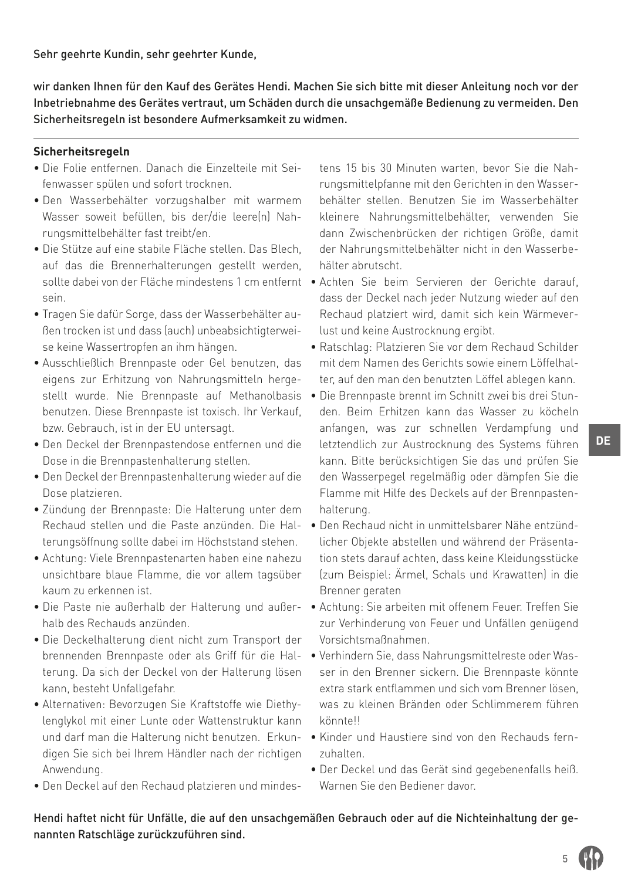Sehr geehrte Kundin, sehr geehrter Kunde,

wir danken Ihnen für den Kauf des Gerätes Hendi. Machen Sie sich bitte mit dieser Anleitung noch vor der Inbetriebnahme des Gerätes vertraut, um Schäden durch die unsachgemäße Bedienung zu vermeiden. Den Sicherheitsregeln ist besondere Aufmerksamkeit zu widmen.

# **Sicherheitsregeln**

- Die Folie entfernen. Danach die Einzelteile mit Seifenwasser spülen und sofort trocknen.
- Den Wasserbehälter vorzugshalber mit warmem Wasser soweit befüllen, bis der/die leerelnl Nahrungsmittelbehälter fast treibt/en.
- Die Stütze auf eine stabile Fläche stellen. Das Blech, auf das die Brennerhalterungen gestellt werden, sein.
- Tragen Sie dafür Sorge, dass der Wasserbehälter außen trocken ist und dass (auch) unbeabsichtigterweise keine Wassertropfen an ihm hängen.
- Ausschließlich Brennpaste oder Gel benutzen, das eigens zur Erhitzung von Nahrungsmitteln hergestellt wurde. Nie Brennpaste auf Methanolbasis benutzen. Diese Brennpaste ist toxisch. Ihr Verkauf, bzw. Gebrauch, ist in der EU untersagt.
- Den Deckel der Brennpastendose entfernen und die Dose in die Brennpastenhalterung stellen.
- Den Deckel der Brennpastenhalterung wieder auf die Dose platzieren.
- Zündung der Brennpaste: Die Halterung unter dem terungsöffnung sollte dabei im Höchststand stehen.
- Achtung: Viele Brennpastenarten haben eine nahezu unsichtbare blaue Flamme, die vor allem tagsüber kaum zu erkennen ist.
- Die Paste nie außerhalb der Halterung und außerhalb des Rechauds anzünden.
- Die Deckelhalterung dient nicht zum Transport der brennenden Brennpaste oder als Griff für die Halterung. Da sich der Deckel von der Halterung lösen kann, besteht Unfallgefahr.
- Alternativen: Bevorzugen Sie Kraftstoffe wie Diethylenglykol mit einer Lunte oder Wattenstruktur kann und darf man die Halterung nicht benutzen. Erkundigen Sie sich bei Ihrem Händler nach der richtigen Anwendung.
- Den Deckel auf den Rechaud platzieren und mindes-

tens 15 bis 30 Minuten warten, bevor Sie die Nahrungsmittelpfanne mit den Gerichten in den Wasserbehälter stellen. Benutzen Sie im Wasserbehälter kleinere Nahrungsmittelbehälter, verwenden Sie dann Zwischenbrücken der richtigen Größe, damit der Nahrungsmittelbehälter nicht in den Wasserbehälter abrutscht.

- sollte dabei von der Fläche mindestens 1 cm entfernt Achten Sie beim Servieren der Gerichte darauf, dass der Deckel nach jeder Nutzung wieder auf den Rechaud platziert wird, damit sich kein Wärmeverlust und keine Austrocknung ergibt.
	- Ratschlag: Platzieren Sie vor dem Rechaud Schilder mit dem Namen des Gerichts sowie einem Löffelhalter, auf den man den benutzten Löffel ablegen kann.
	- Die Brennpaste brennt im Schnitt zwei bis drei Stunden. Beim Erhitzen kann das Wasser zu köcheln anfangen, was zur schnellen Verdampfung und letztendlich zur Austrocknung des Systems führen kann. Bitte berücksichtigen Sie das und prüfen Sie den Wasserpegel regelmäßig oder dämpfen Sie die Flamme mit Hilfe des Deckels auf der Brennpastenhalterung.
- Rechaud stellen und die Paste anzünden. Die Hal-• Den Rechaud nicht in unmittelsbarer Nähe entzündlicher Objekte abstellen und während der Präsentation stets darauf achten, dass keine Kleidungsstücke (zum Beispiel: Ärmel, Schals und Krawatten) in die Brenner geraten
	- Achtung: Sie arbeiten mit offenem Feuer. Treffen Sie zur Verhinderung von Feuer und Unfällen genügend Vorsichtsmaßnahmen.
	- Verhindern Sie, dass Nahrungsmittelreste oder Wasser in den Brenner sickern. Die Brennpaste könnte extra stark entflammen und sich vom Brenner lösen, was zu kleinen Bränden oder Schlimmerem führen könnte!!
	- Kinder und Haustiere sind von den Rechauds fernzuhalten.
	- Der Deckel und das Gerät sind gegebenenfalls heiß. Warnen Sie den Bediener davor.

Hendi haftet nicht für Unfälle, die auf den unsachgemäßen Gebrauch oder auf die Nichteinhaltung der genannten Ratschläge zurückzuführen sind.

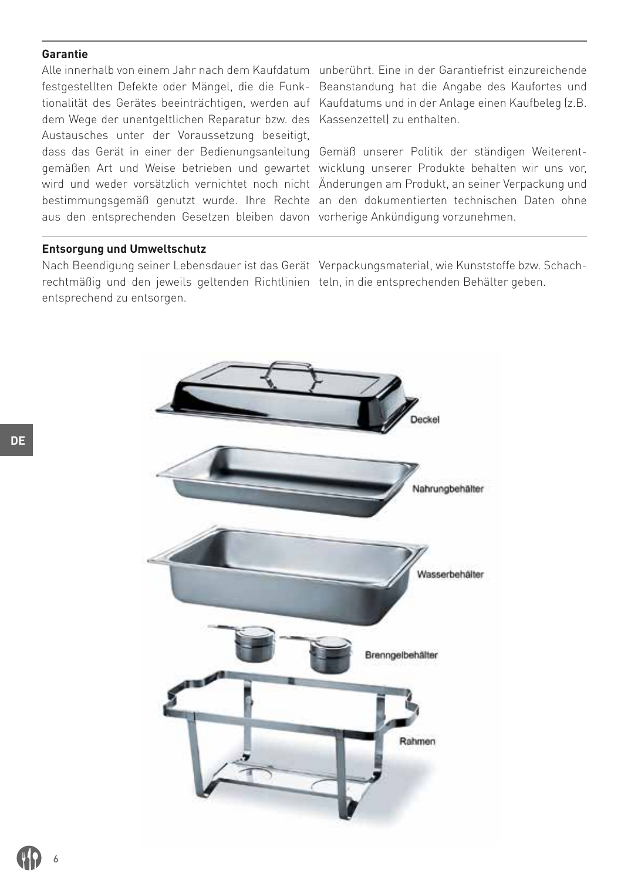### **Garantie**

dem Wege der unentgeltlichen Reparatur bzw. des Kassenzettel) zu enthalten. Austausches unter der Voraussetzung beseitigt, dass das Gerät in einer der Bedienungsanleitung Gemäß unserer Politik der ständigen Weiterentaus den entsprechenden Gesetzen bleiben davon vorherige Ankündigung vorzunehmen.

Alle innerhalb von einem Jahr nach dem Kaufdatum unberührt. Eine in der Garantiefrist einzureichende festgestellten Defekte oder Mängel, die die Funk-Beanstandung hat die Angabe des Kaufortes und tionalität des Gerätes beeinträchtigen, werden auf Kaufdatums und in der Anlage einen Kaufbeleg (z.B.

gemäßen Art und Weise betrieben und gewartet wicklung unserer Produkte behalten wir uns vor, wird und weder vorsätzlich vernichtet noch nicht Änderungen am Produkt, an seiner Verpackung und bestimmungsgemäß genutzt wurde. Ihre Rechte an den dokumentierten technischen Daten ohne

#### **Entsorgung und Umweltschutz**

rechtmäßig und den jeweils geltenden Richtlinien teln, in die entsprechenden Behälter geben.entsprechend zu entsorgen.

Nach Beendigung seiner Lebensdauer ist das Gerät Verpackungsmaterial, wie Kunststoffe bzw. Schach-

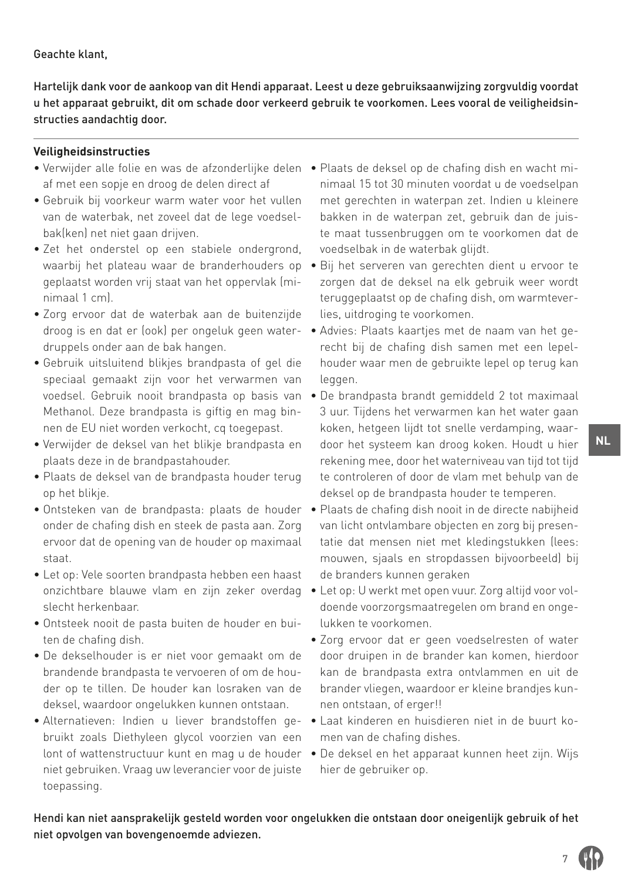### Geachte klant,

Hartelijk dank voor de aankoop van dit Hendi apparaat. Leest u deze gebruiksaanwijzing zorgvuldig voordat u het apparaat gebruikt, dit om schade door verkeerd gebruik te voorkomen. Lees vooral de veiligheidsinstructies aandachtig door.

# **Veiligheidsinstructies**

- Verwijder alle folie en was de afzonderlijke delen Plaats de deksel op de chafing dish en wacht miaf met een sopje en droog de delen direct af
- Gebruik bij voorkeur warm water voor het vullen van de waterbak, net zoveel dat de lege voedselbak(ken) net niet gaan drijven.
- Zet het onderstel op een stabiele ondergrond, waarbij het plateau waar de branderhouders op geplaatst worden vrij staat van het oppervlak (minimaal 1 cm).
- Zorg ervoor dat de waterbak aan de buitenzijde droog is en dat er (ook) per ongeluk geen waterdruppels onder aan de bak hangen.
- Gebruik uitsluitend blikjes brandpasta of gel die speciaal gemaakt zijn voor het verwarmen van voedsel. Gebruik nooit brandpasta op basis van Methanol. Deze brandpasta is giftig en mag binnen de EU niet worden verkocht, cq toegepast.
- Verwijder de deksel van het blikje brandpasta en plaats deze in de brandpastahouder.
- Plaats de deksel van de brandpasta houder terug op het blikje.
- onder de chafing dish en steek de pasta aan. Zorg ervoor dat de opening van de houder op maximaal staat.
- Let op: Vele soorten brandpasta hebben een haast slecht herkenbaar.
- Ontsteek nooit de pasta buiten de houder en buiten de chafing dish.
- De dekselhouder is er niet voor gemaakt om de brandende brandpasta te vervoeren of om de houder op te tillen. De houder kan losraken van de deksel, waardoor ongelukken kunnen ontstaan.
- Alternatieven: Indien u liever brandstoffen gebruikt zoals Diethyleen glycol voorzien van een lont of wattenstructuur kunt en mag u de houder niet gebruiken. Vraag uw leverancier voor de juiste toepassing.
- nimaal 15 tot 30 minuten voordat u de voedselpan met gerechten in waterpan zet. Indien u kleinere bakken in de waterpan zet, gebruik dan de juiste maat tussenbruggen om te voorkomen dat de voedselbak in de waterbak glijdt.
- Bij het serveren van gerechten dient u ervoor te zorgen dat de deksel na elk gebruik weer wordt teruggeplaatst op de chafing dish, om warmteverlies, uitdroging te voorkomen.
- Advies: Plaats kaartjes met de naam van het gerecht bij de chafing dish samen met een lepelhouder waar men de gebruikte lepel op terug kan leggen.
- De brandpasta brandt gemiddeld 2 tot maximaal 3 uur. Tijdens het verwarmen kan het water gaan koken, hetgeen lijdt tot snelle verdamping, waardoor het systeem kan droog koken. Houdt u hier rekening mee, door het waterniveau van tijd tot tijd te controleren of door de vlam met behulp van de deksel op de brandpasta houder te temperen.
- Ontsteken van de brandpasta: plaats de houder Plaats de chafing dish nooit in de directe nabijheid van licht ontvlambare objecten en zorg bij presentatie dat mensen niet met kledingstukken (lees: mouwen, sjaals en stropdassen bijvoorbeeld) bij de branders kunnen geraken
	- onzichtbare blauwe vlam en zijn zeker overdag Let op: U werkt met open vuur. Zorg altijd voor voldoende voorzorgsmaatregelen om brand en ongelukken te voorkomen.
		- Zorg ervoor dat er geen voedselresten of water door druipen in de brander kan komen, hierdoor kan de brandpasta extra ontvlammen en uit de brander vliegen, waardoor er kleine brandjes kunnen ontstaan, of erger!!
		- Laat kinderen en huisdieren niet in de buurt komen van de chafing dishes.
		- De deksel en het apparaat kunnen heet zijn. Wijs hier de gebruiker op.

Hendi kan niet aansprakelijk gesteld worden voor ongelukken die ontstaan door oneigenlijk gebruik of het niet opvolgen van bovengenoemde adviezen.

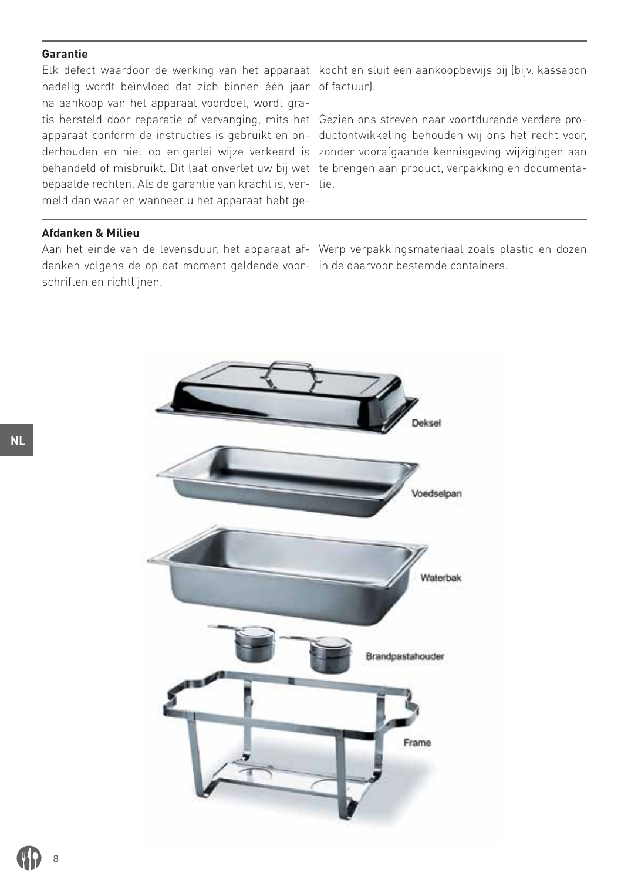### **Garantie**

Elk defect waardoor de werking van het apparaat kocht en sluit een aankoopbewijs bij (bijv. kassabon nadelig wordt beïnvloed dat zich binnen één jaar of factuur). na aankoop van het apparaat voordoet, wordt gratis hersteld door reparatie of vervanging, mits het Gezien ons streven naar voortdurende verdere probehandeld of misbruikt. Dit laat onverlet uw bij wet te brengen aan product, verpakking en documentabepaalde rechten. Als de garantie van kracht is, ver-tie. meld dan waar en wanneer u het apparaat hebt ge-

apparaat conform de instructies is gebruikt en on-ductontwikkeling behouden wij ons het recht voor, derhouden en niet op enigerlei wijze verkeerd is zonder voorafgaande kennisgeving wijzigingen aan

#### **Afdanken & Milieu**

danken volgens de op dat moment geldende voor-in de daarvoor bestemde containers.schriften en richtlijnen.

Aan het einde van de levensduur, het apparaat af-Werp verpakkingsmateriaal zoals plastic en dozen

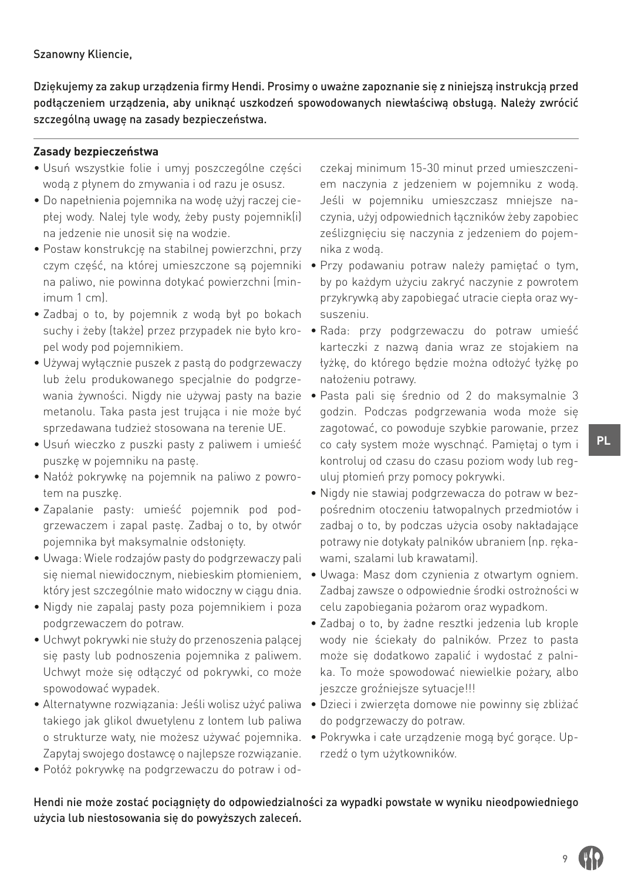Szanowny Kliencie,

Dziękujemy za zakup urządzenia firmy Hendi. Prosimy o uważne zapoznanie się z niniejszą instrukcją przed podłączeniem urządzenia, aby uniknąć uszkodzeń spowodowanych niewłaściwą obsługą. Należy zwrócić szczególną uwagę na zasady bezpieczeństwa.

# **Zasady bezpieczeństwa**

- Usuń wszystkie folie i umyj poszczególne części wodą z płynem do zmywania i od razu je osusz.
- Do napełnienia pojemnika na wodę użyj raczej ciepłej wody. Nalej tyle wody, żeby pusty pojemnik(i) na jedzenie nie unosił się na wodzie.
- Postaw konstrukcję na stabilnej powierzchni, przy czym część, na której umieszczone są pojemniki na paliwo, nie powinna dotykać powierzchni (minimum 1 cm).
- Zadbaj o to, by pojemnik z wodą był po bokach pel wody pod pojemnikiem.
- Używaj wyłącznie puszek z pastą do podgrzewaczy lub żelu produkowanego specjalnie do podgrzewania żywności. Nigdy nie używaj pasty na bazie metanolu. Taka pasta jest trująca i nie może być sprzedawana tudzież stosowana na terenie UE.
- Usuń wieczko z puszki pasty z paliwem i umieść puszkę w pojemniku na pastę.
- Nałóż pokrywkę na pojemnik na paliwo z powrotem na puszkę.
- Zapalanie pasty: umieść pojemnik pod podgrzewaczem i zapal pastę. Zadbaj o to, by otwór pojemnika był maksymalnie odsłonięty.
- Uwaga: Wiele rodzajów pasty do podgrzewaczy pali który jest szczególnie mało widoczny w ciągu dnia.
- Nigdy nie zapalaj pasty poza pojemnikiem i poza podgrzewaczem do potraw.
- Uchwyt pokrywki nie służy do przenoszenia palącej się pasty lub podnoszenia pojemnika z paliwem. Uchwyt może się odłączyć od pokrywki, co może spowodować wypadek.
- Alternatywne rozwiązania: Jeśli wolisz użyć paliwa takiego jak glikol dwuetylenu z lontem lub paliwa Zapytaj swojego dostawcę o najlepsze rozwiązanie.
- Połóż pokrywkę na podgrzewaczu do potraw i od-

czekaj minimum 15-30 minut przed umieszczeniem naczynia z jedzeniem w pojemniku z wodą. Jeśli w pojemniku umieszczasz mniejsze naczynia, użyj odpowiednich łączników żeby zapobiec ześlizgnięciu się naczynia z jedzeniem do pojemnika z wodą.

- Przy podawaniu potraw należy pamiętać o tym, by po każdym użyciu zakryć naczynie z powrotem przykrywką aby zapobiegać utracie ciepła oraz wysuszeniu.
- suchy i żeby (także) przez przypadek nie było kro-• Rada: przy podgrzewaczu do potraw umieść karteczki z nazwą dania wraz ze stojakiem na łyżkę, do którego będzie można odłożyć łyżkę po nałożeniu potrawy.
	- Pasta pali się średnio od 2 do maksymalnie 3 godzin. Podczas podgrzewania woda może się zagotować, co powoduje szybkie parowanie, przez co cały system może wyschnąć. Pamiętaj o tym i kontroluj od czasu do czasu poziom wody lub reguluj płomień przy pomocy pokrywki.
	- Nigdy nie stawiaj podgrzewacza do potraw w bezpośrednim otoczeniu łatwopalnych przedmiotów i zadbaj o to, by podczas użycia osoby nakładające potrawy nie dotykały palników ubraniem (np. rękawami, szalami lub krawatami).
- się niemal niewidocznym, niebieskim płomieniem, Uwaga: Masz dom czynienia z otwartym ogniem. Zadbaj zawsze o odpowiednie środki ostrożności w celu zapobiegania pożarom oraz wypadkom.
	- Zadbaj o to, by żadne resztki jedzenia lub krople wody nie ściekały do palników. Przez to pasta może się dodatkowo zapalić i wydostać z palnika. To może spowodować niewielkie pożary, albo jeszcze groźniejsze sytuacje!!!
	- Dzieci i zwierzęta domowe nie powinny się zbliżać do podgrzewaczy do potraw.
- o strukturze waty, nie możesz używać pojemnika. Pokrywka i całe urządzenie mogą być gorące. Uprzedź o tym użytkowników.

Hendi nie może zostać pociągnięty do odpowiedzialności za wypadki powstałe w wyniku nieodpowiedniego użycia lub niestosowania się do powyższych zaleceń.

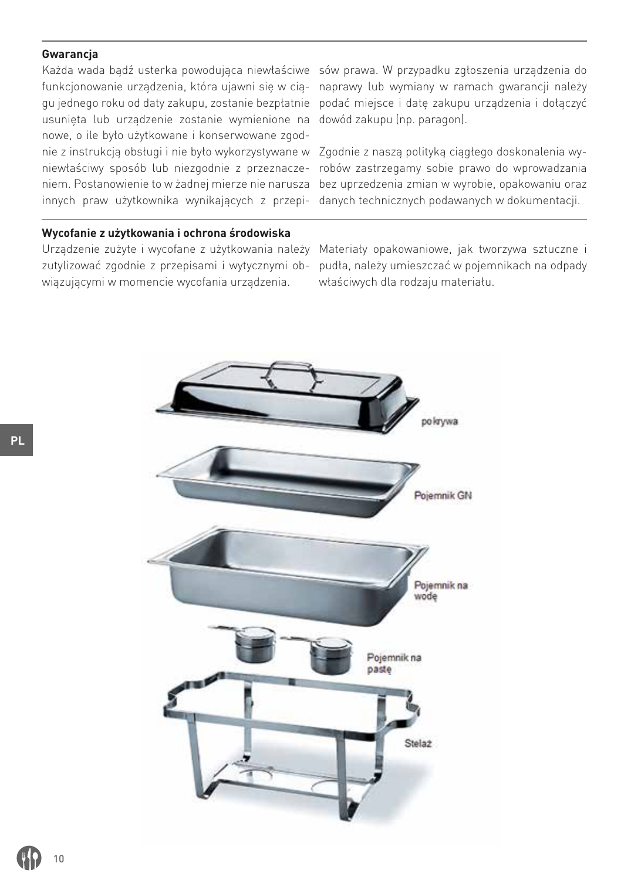### **Gwarancja**

usunięta lub urządzenie zostanie wymienione na dowód zakupu (np. paragon). nowe, o ile było użytkowane i konserwowane zgodnie z instrukcją obsługi i nie było wykorzystywane w Zgodnie z naszą polityką ciągłego doskonalenia wyinnych praw użytkownika wynikających z przepi-danych technicznych podawanych w dokumentacji.

# **Wycofanie z użytkowania i ochrona środowiska**

zutylizować zgodnie z przepisami i wytycznymi obwiązującymi w momencie wycofania urządzenia.

Każda wada bądź usterka powodująca niewłaściwe sów prawa. W przypadku zgłoszenia urządzenia do funkcjonowanie urządzenia, która ujawni się w cią-naprawy lub wymiany w ramach gwarancji należy gu jednego roku od daty zakupu, zostanie bezpłatnie podać miejsce i datę zakupu urządzenia i dołączyć

niewłaściwy sposób lub niezgodnie z przeznacze-robów zastrzegamy sobie prawo do wprowadzania niem. Postanowienie to w żadnej mierze nie narusza bez uprzedzenia zmian w wyrobie, opakowaniu oraz

Urządzenie zużyte i wycofane z użytkowania należy Materiały opakowaniowe, jak tworzywa sztuczne i pudła, należy umieszczać w pojemnikach na odpady właściwych dla rodzaju materiału.

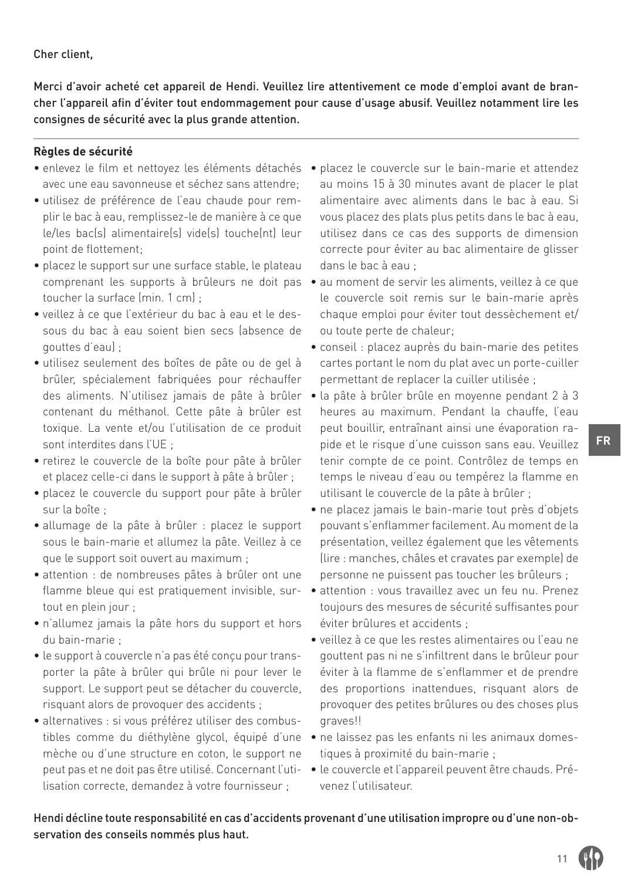#### Cher client,

Merci d'avoir acheté cet appareil de Hendi. Veuillez lire attentivement ce mode d'emploi avant de brancher l'appareil afin d'éviter tout endommagement pour cause d'usage abusif. Veuillez notamment lire les consignes de sécurité avec la plus grande attention.

#### **Règles de sécurité**

- enlevez le film et nettoyez les éléments détachés placez le couvercle sur le bain-marie et attendez avec une eau savonneuse et séchez sans attendre;
- utilisez de préférence de l'eau chaude pour remplir le bac à eau, remplissez-le de manière à ce que le/les bac(s) alimentaire(s) vide(s) touche(nt) leur point de flottement;
- placez le support sur une surface stable, le plateau comprenant les supports à brûleurs ne doit pas toucher la surface (min. 1 cm) ;
- veillez à ce que l'extérieur du bac à eau et le dessous du bac à eau soient bien secs (absence de gouttes d'eau) ;
- utilisez seulement des boîtes de pâte ou de gel à brûler, spécialement fabriquées pour réchauffer des aliments. N'utilisez jamais de pâte à brûler contenant du méthanol. Cette pâte à brûler est toxique. La vente et/ou l'utilisation de ce produit sont interdites dans l'UE ;
- retirez le couvercle de la boîte pour pâte à brûler et placez celle-ci dans le support à pâte à brûler ;
- placez le couvercle du support pour pâte à brûler sur la boîte ;
- allumage de la pâte à brûler : placez le support sous le bain-marie et allumez la pâte. Veillez à ce que le support soit ouvert au maximum ;
- attention : de nombreuses pâtes à brûler ont une flamme bleue qui est pratiquement invisible, surtout en plein jour ;
- n'allumez jamais la pâte hors du support et hors du bain-marie ;
- le support à couvercle n'a pas été conçu pour transporter la pâte à brûler qui brûle ni pour lever le support. Le support peut se détacher du couvercle, risquant alors de provoquer des accidents ;
- alternatives : si vous préférez utiliser des combusmèche ou d'une structure en coton, le support ne lisation correcte, demandez à votre fournisseur ;
- au moins 15 à 30 minutes avant de placer le plat alimentaire avec aliments dans le bac à eau. Si vous placez des plats plus petits dans le bac à eau, utilisez dans ce cas des supports de dimension correcte pour éviter au bac alimentaire de glisser dans le bac à eau ;
- au moment de servir les aliments, veillez à ce que le couvercle soit remis sur le bain-marie après chaque emploi pour éviter tout dessèchement et/ ou toute perte de chaleur;
- conseil : placez auprès du bain-marie des petites cartes portant le nom du plat avec un porte-cuiller permettant de replacer la cuiller utilisée ;
- la pâte à brûler brûle en moyenne pendant 2 à 3 heures au maximum. Pendant la chauffe, l'eau peut bouillir, entraînant ainsi une évaporation rapide et le risque d'une cuisson sans eau. Veuillez tenir compte de ce point. Contrôlez de temps en temps le niveau d'eau ou tempérez la flamme en utilisant le couvercle de la pâte à brûler ;
- ne placez jamais le bain-marie tout près d'objets pouvant s'enflammer facilement. Au moment de la présentation, veillez également que les vêtements (lire : manches, châles et cravates par exemple) de personne ne puissent pas toucher les brûleurs ;
- attention : vous travaillez avec un feu nu. Prenez toujours des mesures de sécurité suffisantes pour éviter brûlures et accidents ;
- veillez à ce que les restes alimentaires ou l'eau ne gouttent pas ni ne s'infiltrent dans le brûleur pour éviter à la flamme de s'enflammer et de prendre des proportions inattendues, risquant alors de provoquer des petites brûlures ou des choses plus graves!!
- tibles comme du diéthylène glycol, équipé d'une ne laissez pas les enfants ni les animaux domestiques à proximité du bain-marie ;
- peut pas et ne doit pas être utilisé. Concernant l'uti-• le couvercle et l'appareil peuvent être chauds. Prévenez l'utilisateur.

Hendi décline toute responsabilité en cas d'accidents provenant d'une utilisation impropre ou d'une non-observation des conseils nommés plus haut.

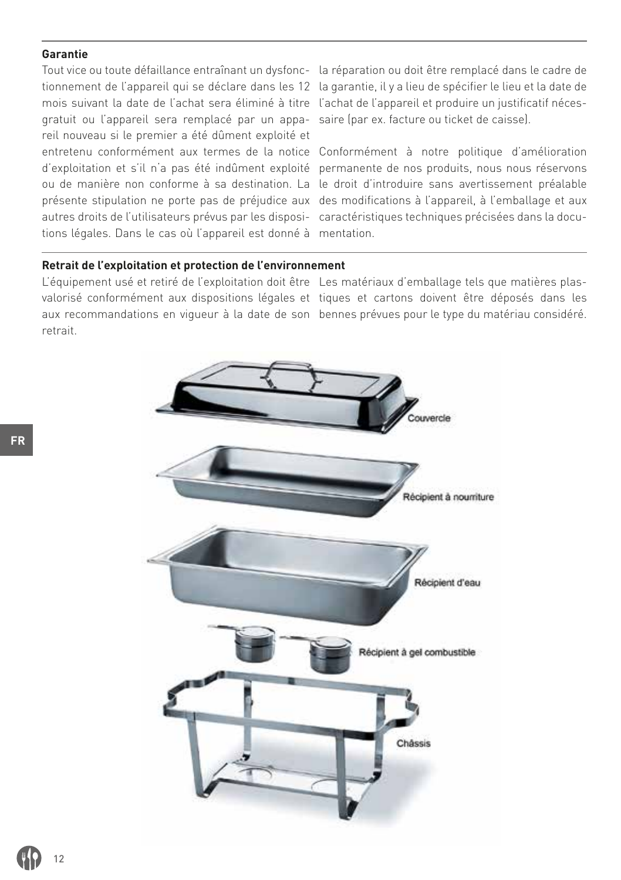#### **Garantie**

mois suivant la date de l'achat sera éliminé à titre l'achat de l'appareil et produire un justificatif nécesgratuit ou l'appareil sera remplacé par un appa-saire (par ex. facture ou ticket de caisse). reil nouveau si le premier a été dûment exploité et autres droits de l'utilisateurs prévus par les disposi-caractéristiques techniques précisées dans la docutions légales. Dans le cas où l'appareil est donné à mentation.

Tout vice ou toute défaillance entraînant un dysfonc-la réparation ou doit être remplacé dans le cadre de tionnement de l'appareil qui se déclare dans les 12 la garantie, il y a lieu de spécifier le lieu et la date de

entretenu conformément aux termes de la notice Conformément à notre politique d'amélioration d'exploitation et s'il n'a pas été indûment exploité permanente de nos produits, nous nous réservons ou de manière non conforme à sa destination. La le droit d'introduire sans avertissement préalable présente stipulation ne porte pas de préjudice aux des modifications à l'appareil, à l'emballage et aux

#### **Retrait de l'exploitation et protection de l'environnement**

L'équipement usé et retiré de l'exploitation doit être Les matériaux d'emballage tels que matières plasvalorisé conformément aux dispositions légales et tiques et cartons doivent être déposés dans les aux recommandations en vigueur à la date de son bennes prévues pour le type du matériau considéré.retrait.

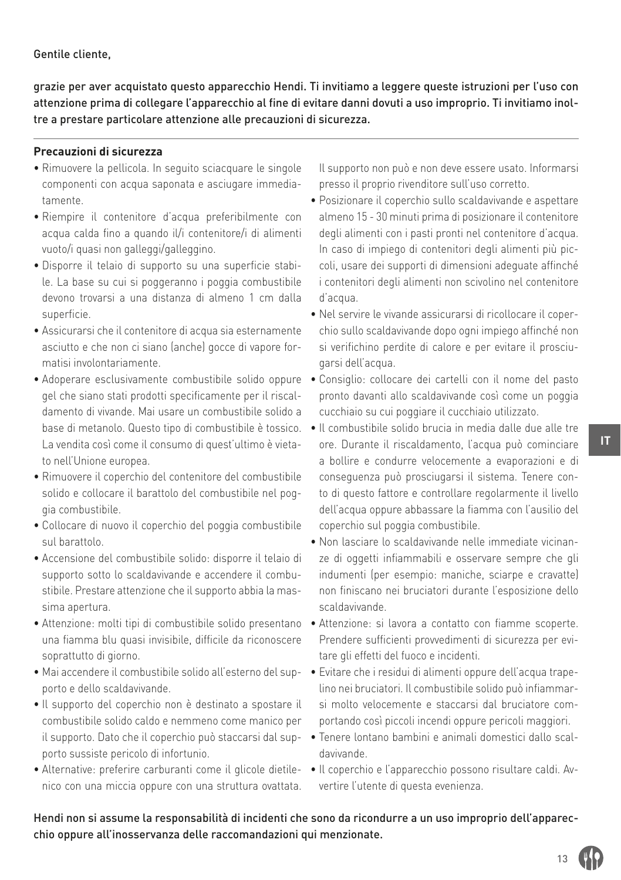#### Gentile cliente,

grazie per aver acquistato questo apparecchio Hendi. Ti invitiamo a leggere queste istruzioni per l'uso con attenzione prima di collegare l'apparecchio al fine di evitare danni dovuti a uso improprio. Ti invitiamo inoltre a prestare particolare attenzione alle precauzioni di sicurezza.

#### **Precauzioni di sicurezza**

- Rimuovere la pellicola. In seguito sciacquare le singole componenti con acqua saponata e asciugare immediatamente.
- Riempire il contenitore d'acqua preferibilmente con acqua calda fino a quando il/i contenitore/i di alimenti vuoto/i quasi non galleggi/galleggino.
- Disporre il telaio di supporto su una superficie stabile. La base su cui si poggeranno i poggia combustibile devono trovarsi a una distanza di almeno 1 cm dalla superficie.
- Assicurarsi che il contenitore di acqua sia esternamente asciutto e che non ci siano (anche) gocce di vapore formatisi involontariamente.
- gel che siano stati prodotti specificamente per il riscaldamento di vivande. Mai usare un combustibile solido a La vendita così come il consumo di quest'ultimo è vietato nell'Unione europea.
- Rimuovere il coperchio del contenitore del combustibile solido e collocare il barattolo del combustibile nel poggia combustibile.
- Collocare di nuovo il coperchio del poggia combustibile sul barattolo.
- Accensione del combustibile solido: disporre il telaio di supporto sotto lo scaldavivande e accendere il combustibile. Prestare attenzione che il supporto abbia la massima apertura.
- Attenzione: molti tipi di combustibile solido presentano una fiamma blu quasi invisibile, difficile da riconoscere soprattutto di giorno.
- Mai accendere il combustibile solido all'esterno del sup-• Evitare che i residui di alimenti oppure dell'acqua trapeporto e dello scaldavivande.
- Il supporto del coperchio non è destinato a spostare il combustibile solido caldo e nemmeno come manico per il supporto. Dato che il coperchio può staccarsi dal supporto sussiste pericolo di infortunio.
- Alternative: preferire carburanti come il glicole dietile-• Il coperchio e l'apparecchio possono risultare caldi. Avnico con una miccia oppure con una struttura ovattata.

Il supporto non può e non deve essere usato. Informarsi presso il proprio rivenditore sull'uso corretto.

- Posizionare il coperchio sullo scaldavivande e aspettare almeno 15 - 30 minuti prima di posizionare il contenitore degli alimenti con i pasti pronti nel contenitore d'acqua. In caso di impiego di contenitori degli alimenti più piccoli, usare dei supporti di dimensioni adeguate affinché i contenitori degli alimenti non scivolino nel contenitore d'acqua.
- Nel servire le vivande assicurarsi di ricollocare il coperchio sullo scaldavivande dopo ogni impiego affinché non si verifichino perdite di calore e per evitare il prosciugarsi dell'acqua.
- Adoperare esclusivamente combustibile solido oppure Consiglio: collocare dei cartelli con il nome del pasto pronto davanti allo scaldavivande così come un poggia cucchiaio su cui poggiare il cucchiaio utilizzato.
	- base di metanolo. Questo tipo di combustibile è tossico. Il combustibile solido brucia in media dalle due alle tre ore. Durante il riscaldamento, l'acqua può cominciare a bollire e condurre velocemente a evaporazioni e di conseguenza può prosciugarsi il sistema. Tenere conto di questo fattore e controllare regolarmente il livello dell'acqua oppure abbassare la fiamma con l'ausilio del coperchio sul poggia combustibile.
		- Non lasciare lo scaldavivande nelle immediate vicinanze di oggetti infiammabili e osservare sempre che gli indumenti (per esempio: maniche, sciarpe e cravatte) non finiscano nei bruciatori durante l'esposizione dello scaldavivande.
		- Attenzione: si lavora a contatto con fiamme scoperte. Prendere sufficienti provvedimenti di sicurezza per evitare gli effetti del fuoco e incidenti.
		- lino nei bruciatori. Il combustibile solido può infiammarsi molto velocemente e staccarsi dal bruciatore comportando così piccoli incendi oppure pericoli maggiori.
		- Tenere lontano bambini e animali domestici dallo scaldavivande.
		- vertire l'utente di questa evenienza.

Hendi non si assume la responsabilità di incidenti che sono da ricondurre a un uso improprio dell'apparecchio oppure all'inosservanza delle raccomandazioni qui menzionate.

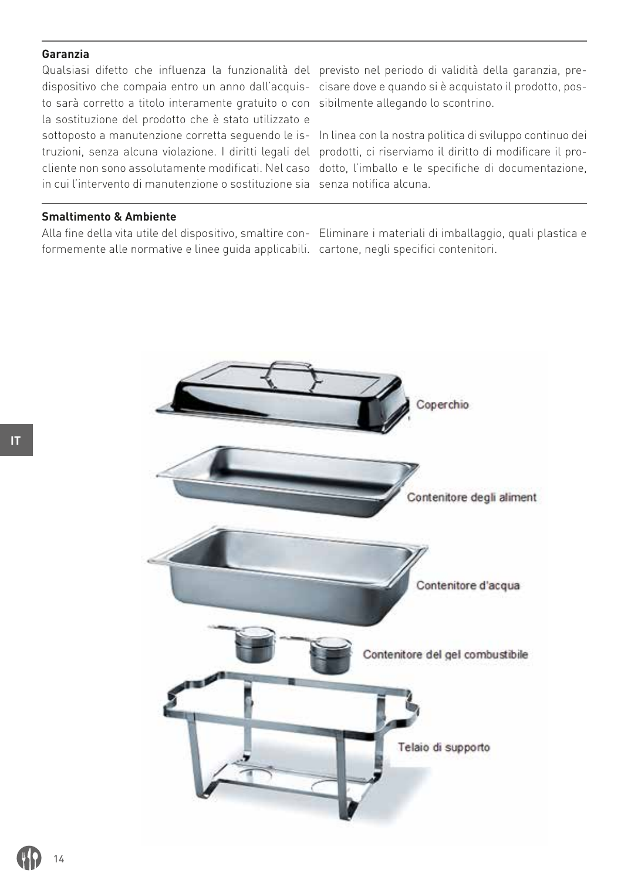### **Garanzia**

Qualsiasi difetto che influenza la funzionalità del previsto nel periodo di validità della garanzia, predispositivo che compaia entro un anno dall'acquis-cisare dove e quando si è acquistato il prodotto, posto sarà corretto a titolo interamente gratuito o con sibilmente allegando lo scontrino. la sostituzione del prodotto che è stato utilizzato e truzioni, senza alcuna violazione. I diritti legali del prodotti, ci riserviamo il diritto di modificare il proin cui l'intervento di manutenzione o sostituzione sia senza notifica alcuna.

sottoposto a manutenzione corretta seguendo le is-In linea con la nostra politica di sviluppo continuo dei cliente non sono assolutamente modificati. Nel caso dotto, l'imballo e le specifiche di documentazione,

### **Smaltimento & Ambiente**

formemente alle normative e linee guida applicabili. cartone, negli specifici contenitori.

Alla fine della vita utile del dispositivo, smaltire con-Eliminare i materiali di imballaggio, quali plastica e

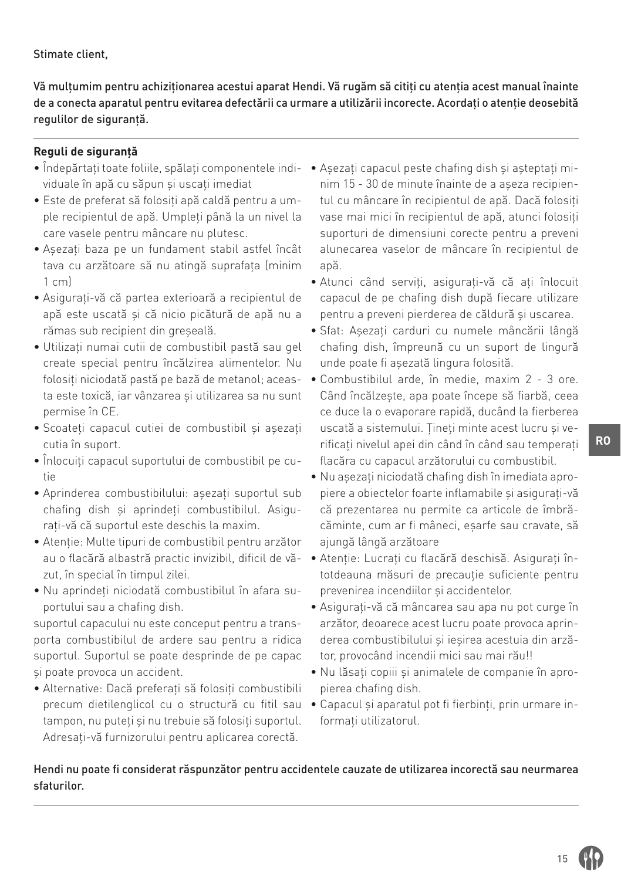# Stimate client,

Vă mulțumim pentru achiziționarea acestui aparat Hendi. Vă rugăm să citiți cu atenția acest manual înainte de a conecta aparatul pentru evitarea defectării ca urmare a utilizării incorecte. Acordați o atenție deosebită regulilor de siguranță.

# **Reguli de siguranță**

- viduale în apă cu săpun și uscați imediat
- Este de preferat să folosiți apă caldă pentru a umple recipientul de apă. Umpleți până la un nivel la care vasele pentru mâncare nu plutesc.
- Așezați baza pe un fundament stabil astfel încât tava cu arzătoare să nu atingă suprafața (minim 1 cm)
- Asigurați-vă că partea exterioară a recipientul de apă este uscată și că nicio picătură de apă nu a rămas sub recipient din greseală.
- Utilizați numai cutii de combustibil pastă sau gel create special pentru încălzirea alimentelor. Nu folosiți niciodată pastă pe bază de metanol; aceasta este toxică, iar vânzarea și utilizarea sa nu sunt permise în CE.
- Scoateți capacul cutiei de combustibil și așezați cutia în suport.
- Înlocuiți capacul suportului de combustibil pe cutie
- Aprinderea combustibilului: așezați suportul sub chafing dish și aprindeți combustibilul. Asigurați-vă că suportul este deschis la maxim.
- Atenție: Multe tipuri de combustibil pentru arzător zut, în special în timpul zilei.
- Nu aprindeți niciodată combustibilul în afara suportului sau a chafing dish.

suportul capacului nu este conceput pentru a transporta combustibilul de ardere sau pentru a ridica suportul. Suportul se poate desprinde de pe capac și poate provoca un accident.

• Alternative: Dacă preferați să folosiți combustibili precum dietilenglicol cu o structură cu fitil sau tampon, nu puteți și nu trebuie să folosiți suportul. Adresați-vă furnizorului pentru aplicarea corectă.

- Îndepărtați toate foliile, spălați componentele indi-• Așezați capacul peste chafing dish și așteptați minim 15 - 30 de minute înainte de a așeza recipientul cu mâncare în recipientul de apă. Dacă folosiți vase mai mici în recipientul de apă, atunci folosiți suporturi de dimensiuni corecte pentru a preveni alunecarea vaselor de mâncare în recipientul de apă.
	- Atunci când serviți, asigurați-vă că ați înlocuit capacul de pe chafing dish după fiecare utilizare pentru a preveni pierderea de căldură și uscarea.
	- Sfat: Așezați carduri cu numele mâncării lângă chafing dish, împreună cu un suport de lingură unde poate fi așezată lingura folosită.
	- Combustibilul arde, în medie, maxim 2 3 ore. Când încălzește, apa poate începe să fiarbă, ceea ce duce la o evaporare rapidă, ducând la fierberea uscată a sistemului. Țineți minte acest lucru și verificați nivelul apei din când în când sau temperați flacăra cu capacul arzătorului cu combustibil.
	- Nu așezați niciodată chafing dish în imediata apropiere a obiectelor foarte inflamabile și asigurați-vă că prezentarea nu permite ca articole de îmbrăcăminte, cum ar fi mâneci, eșarfe sau cravate, să ajungă lângă arzătoare
	- au o flacără albastră practic invizibil, dificil de vă-• Atenție: Lucrați cu flacără deschisă. Asigurați întotdeauna măsuri de precauție suficiente pentru prevenirea incendiilor și accidentelor.
		- Asigurați-vă că mâncarea sau apa nu pot curge în arzător, deoarece acest lucru poate provoca aprinderea combustibilului și ieșirea acestuia din arzător, provocând incendii mici sau mai rău!!
		- Nu lăsați copiii și animalele de companie în apropierea chafing dish.
		- Capacul și aparatul pot fi fierbinți, prin urmare informați utilizatorul.

# Hendi nu poate fi considerat răspunzător pentru accidentele cauzate de utilizarea incorectă sau neurmarea sfaturilor.

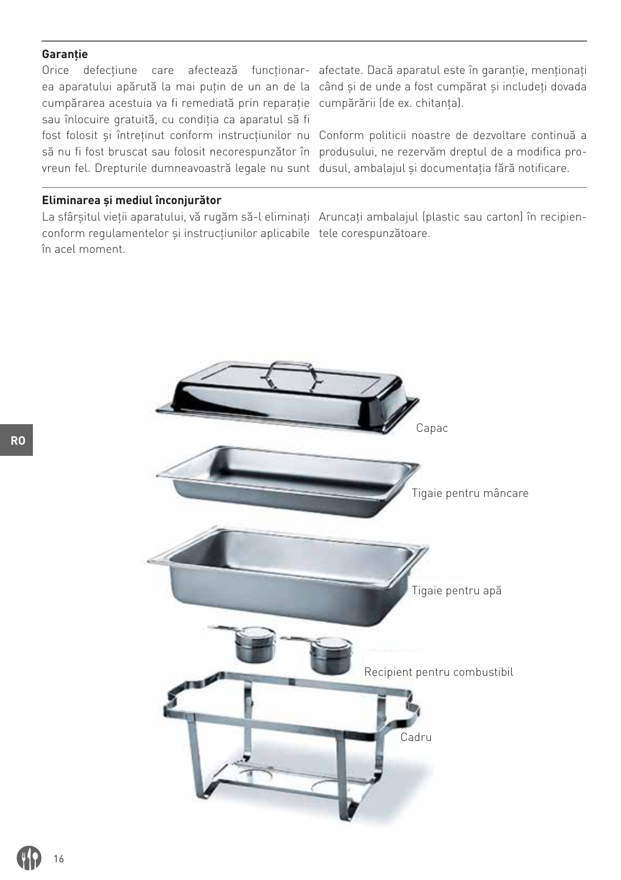#### **Garanție**

cumpărarea acestuia va fi remediată prin reparație cumpărării (de ex. chitanța). sau înlocuire gratuită, cu condiția ca aparatul să fi fost folosit și întreținut conform instrucțiunilor nu Conform politicii noastre de dezvoltare continuă a să nu fi fost bruscat sau folosit necorespunzător în produsului, ne rezervăm dreptul de a modifica provreun fel. Drepturile dumneavoastră legale nu sunt dusul, ambalajul și documentația fără notificare.

Orice defecțiune care afectează funcționar-afectate. Dacă aparatul este în garanție, menționați ea aparatului apărută la mai puțin de un an de la când și de unde a fost cumpărat și includeți dovada

#### **Eliminarea şi mediul înconjurător**

La sfârșitul vieții aparatului, vă rugăm să-l eliminați Aruncați ambalajul (plastic sau carton) în recipienconform regulamentelor și instrucțiunilor aplicabile tele corespunzătoare. în acel moment.

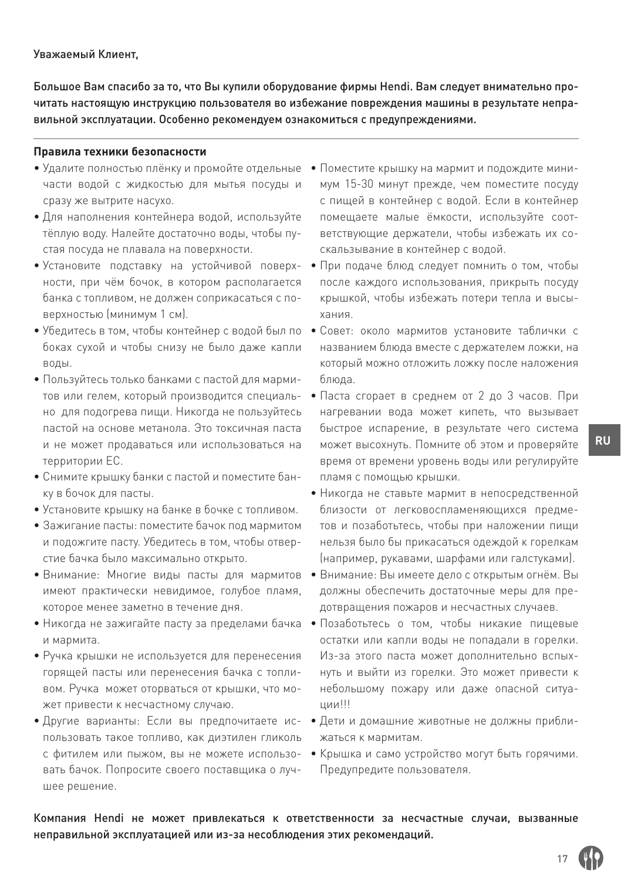Большое Вам спасибо за то, что Вы купили оборудование фирмы Hendi. Вам следует внимательно прочитать настоящую инструкцию пользователя во избежание повреждения машины в результате неправильной эксплуатации. Особенно рекомендуем ознакомиться с предупреждениями.

#### **Правила техники безопасности**

- Удалите полностью плёнку и промойте отдельные части водой с жидкостью для мытья посуды и сразу же вытрите насухо.
- Для наполнения контейнера водой, используйте тёплую воду. Налейте достаточно воды, чтобы пустая посуда не плавала на поверхности.
- ности, при чём бочок, в котором располагается банка с топливом, не должен соприкасаться с поверхностью (минимум 1 см).
- боках сухой и чтобы снизу не было даже капли воды.
- Пользуйтесь только банками с пастой для мармитов или гелем, который производится специально для подогрева пищи. Никогда не пользуйтесь пастой на основе метанола. Это токсичная паста и не может продаваться или использоваться на территории ЕС.
- Снимите крышку банки с пастой и поместите банку в бочок для пасты.
- Установите крышку на банке в бочке с топливом.
- Зажигание пасты: поместите бачок под мармитом и подожгите пасту. Убедитесь в том, чтобы отверстие бачка было максимально открыто.
- Внимание: Многие виды пасты для мармитов имеют практически невидимое, голубое пламя, которое менее заметно в течение дня.
- и мармита.
- Ручка крышки не используется для перенесения горящей пасты или перенесения бачка с топливом. Ручка может оторваться от крышки, что может привести к несчастному случаю.
- пользовать такое топливо, как диэтилен гликоль с фитилем или пыжом, вы не можете использовать бачок. Попросите своего поставщика о лучшее решение.
- Поместите крышку на мармит и подождите минимум 15-30 минут прежде, чем поместите посуду с пищей в контейнер с водой. Если в контейнер помещаете малые ёмкости, используйте соответствующие держатели, чтобы избежать их соскальзывание в контейнер с водой.
- Установите подставку на устойчивой поверх-• При подаче блюд следует помнить о том, чтобы после каждого использования, прикрыть посуду крышкой, чтобы избежать потери тепла и высыхания.
- Убедитесь в том, чтобы контейнер с водой был по Совет: около мармитов установите таблички с названием блюда вместе с держателем ложки, на который можно отложить ложку после наложения блюда.
	- Паста сгорает в среднем от 2 до 3 часов. При нагревании вода может кипеть, что вызывает быстрое испарение, в результате чего система может высохнуть. Помните об этом и проверяйте время от времени уровень воды или регулируйте пламя с помощью крышки.
	- Никогда не ставьте мармит в непосредственной близости от легковоспламеняющихся предметов и позаботьтесь, чтобы при наложении пищи нельзя было бы прикасаться одеждой к горелкам (например, рукавами, шарфами или галстуками).
	- Внимание: Вы имеете дело с открытым огнём. Вы должны обеспечить достаточные меры для предотвращения пожаров и несчастных случаев.
- Никогда не зажигайте пасту за пределами бачка Позаботьтесь о том, чтобы никакие пищевые остатки или капли воды не попадали в горелки. Из-за этого паста может дополнительно вспыхнуть и выйти из горелки. Это может привести к небольшому пожару или даже опасной ситуации!!!
- Другие варианты: Если вы предпочитаете ис-• Дети и домашние животные не должны приближаться к мармитам.
	- Крышка и само устройство могут быть горячими. Предупредите пользователя.

Компания Hendi не может привлекаться к ответственности за несчастные случаи, вызванные неправильной эксплуатацией или из-за несоблюдения этих рекомендаций.

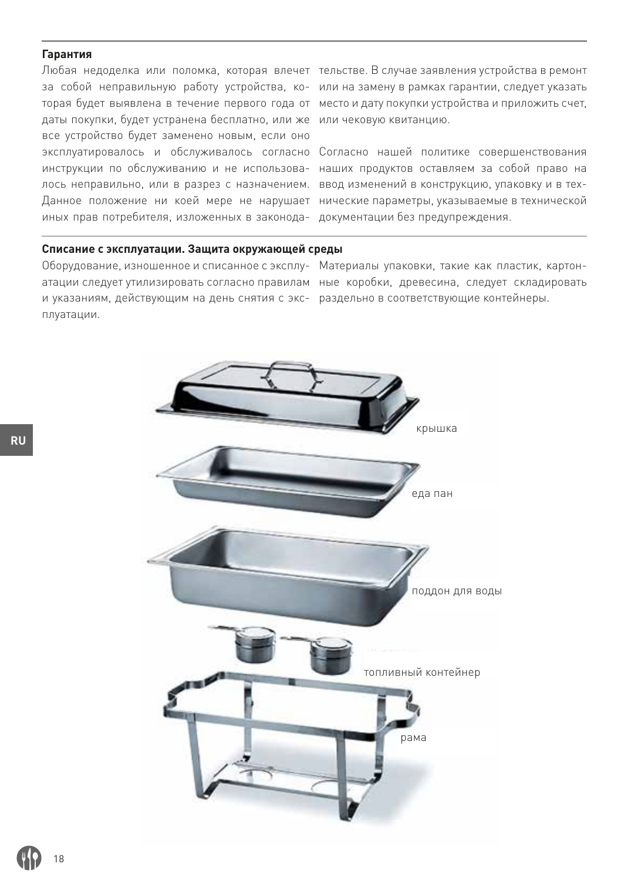#### **Гарантия**

даты покупки, будет устранена бесплатно, или же или чековую квитанцию. все устройство будет заменено новым, если оно эксплуатировалось и обслуживалось согласно Согласно нашей политике совершенствования лось неправильно, или в разрез с назначением. ввод изменений в конструкцию, упаковку и в техиных прав потребителя, изложенных в законода-документации без предупреждения.

Любая недоделка или поломка, которая влечет тельстве. В случае заявления устройства в ремонт за собой неправильную работу устройства, ко-или на замену в рамках гарантии, следует указать торая будет выявлена в течение первого года от место и дату покупки устройства и приложить счет,

инструкции по обслуживанию и не использова-наших продуктов оставляем за собой право на Данное положение ни коей мере не нарушает нические параметры, указываемые в технической

#### **Списание с эксплуатации. Защита окружающей среды**

Оборудование, изношенное и списанное с эксплу-Материалы упаковки, такие как пластик, картони указаниям, действующим на день снятия с экс- раздельно в соответствующие контейнеры. плуатации.

атации следует утилизировать согласно правилам ные коробки, древесина, следует складировать

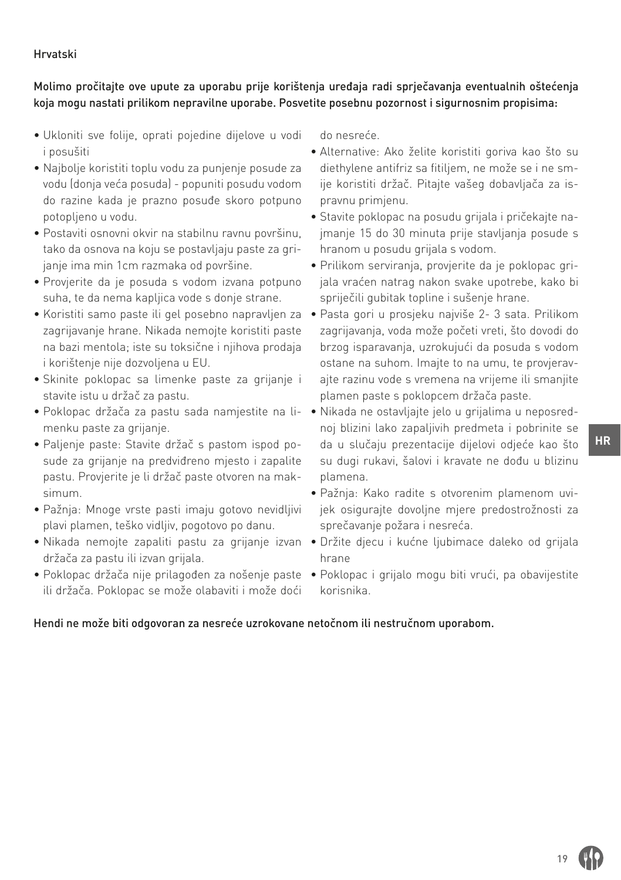# Hrvatski

# Molimo pročitajte ove upute za uporabu prije korištenja uređaja radi sprječavanja eventualnih oštećenja koja mogu nastati prilikom nepravilne uporabe. Posvetite posebnu pozornost i sigurnosnim propisima:

- Ukloniti sve folije, oprati pojedine dijelove u vodi i posušiti
- Najbolje koristiti toplu vodu za punjenje posude za vodu (donja veća posuda) - popuniti posudu vodom do razine kada je prazno posuđe skoro potpuno potopljeno u vodu.
- Postaviti osnovni okvir na stabilnu ravnu površinu, tako da osnova na koju se postavljaju paste za grijanje ima min 1cm razmaka od površine.
- Provjerite da je posuda s vodom izvana potpuno suha, te da nema kapljica vode s donje strane.
- Koristiti samo paste ili gel posebno napravljen za zagrijavanje hrane. Nikada nemojte koristiti paste na bazi mentola; iste su toksične i njihova prodaja i korištenje nije dozvoljena u EU.
- Skinite poklopac sa limenke paste za grijanje i stavite istu u držač za pastu.
- Poklopac držača za pastu sada namjestite na li-• Nikada ne ostavljajte jelo u grijalima u neposredmenku paste za grijanje.
- Paljenje paste: Stavite držač s pastom ispod posude za grijanje na predviđreno mjesto i zapalite pastu. Provjerite je li držač paste otvoren na maksimum.
- Pažnja: Mnoge vrste pasti imaju gotovo nevidljivi plavi plamen, teško vidljiv, pogotovo po danu.
- držača za pastu ili izvan grijala.
- ili držača. Poklopac se može olabaviti i može doći

do nesreće.

- Alternative: Ako želite koristiti goriva kao što su diethylene antifriz sa fitiljem, ne može se i ne smije koristiti držač. Pitajte vašeg dobavljača za ispravnu primjenu.
- Stavite poklopac na posudu grijala i pričekajte najmanje 15 do 30 minuta prije stavljanja posude s hranom u posudu grijala s vodom.
- Prilikom serviranja, provjerite da je poklopac grijala vraćen natrag nakon svake upotrebe, kako bi spriječili gubitak topline i sušenje hrane.
- Pasta gori u prosjeku najviše 2- 3 sata. Prilikom zagrijavanja, voda može početi vreti, što dovodi do brzog isparavanja, uzrokujući da posuda s vodom ostane na suhom. Imajte to na umu, te provjeravajte razinu vode s vremena na vrijeme ili smanjite plamen paste s poklopcem držača paste.
- noj blizini lako zapaljivih predmeta i pobrinite se da u slučaju prezentacije dijelovi odjeće kao što su dugi rukavi, šalovi i kravate ne dođu u blizinu plamena.
- Pažnja: Kako radite s otvorenim plamenom uvijek osigurajte dovoljne mjere predostrožnosti za sprečavanje požara i nesreća.
- Nikada nemojte zapaliti pastu za grijanje izvan Držite djecu i kućne ljubimace daleko od grijala hrane
- Poklopac držača nije prilagođen za nošenje paste Poklopac i grijalo mogu biti vrući, pa obavijestite korisnika.

### Hendi ne može biti odgovoran za nesreće uzrokovane netočnom ili nestručnom uporabom.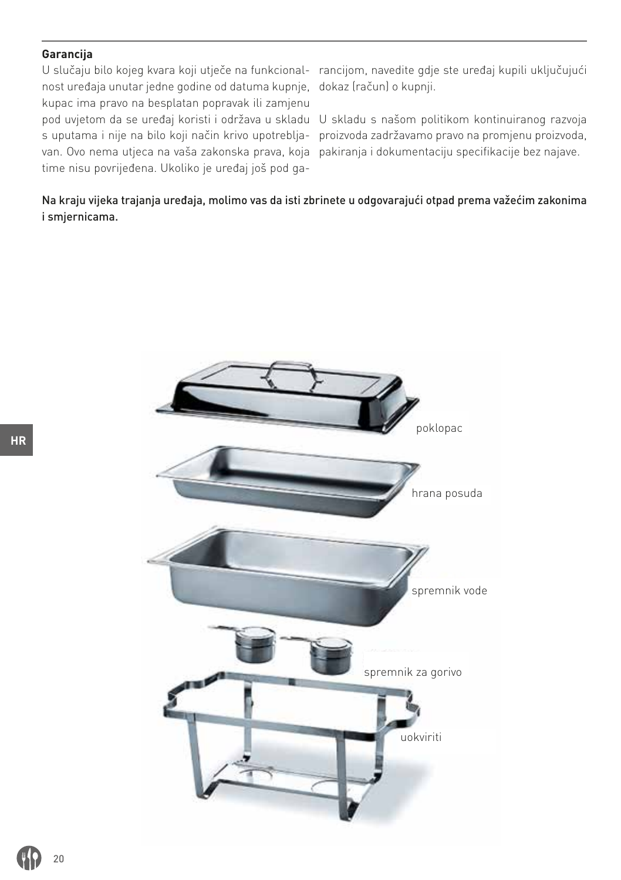# **Garancija**

U slučaju bilo kojeg kvara koji utječe na funkcional- rancijom, navedite gdje ste uređaj kupili uključujući nost uređaja unutar jedne godine od datuma kupnje, dokaz (račun) o kupnji. kupac ima pravo na besplatan popravak ili zamjenu van. Ovo nema utjeca na vaša zakonska prava, koja pakiranja i dokumentaciju specifikacije bez najave. time nisu povrijeđena. Ukoliko je uređaj još pod ga-

pod uvjetom da se uređaj koristi i održava u skladu U skladu s našom politikom kontinuiranog razvoja s uputama i nije na bilo koji način krivo upotreblja-proizvoda zadržavamo pravo na promjenu proizvoda,

Na kraju vijeka trajanja uređaja, molimo vas da isti zbrinete u odgovarajući otpad prema važećim zakonima i smjernicama.

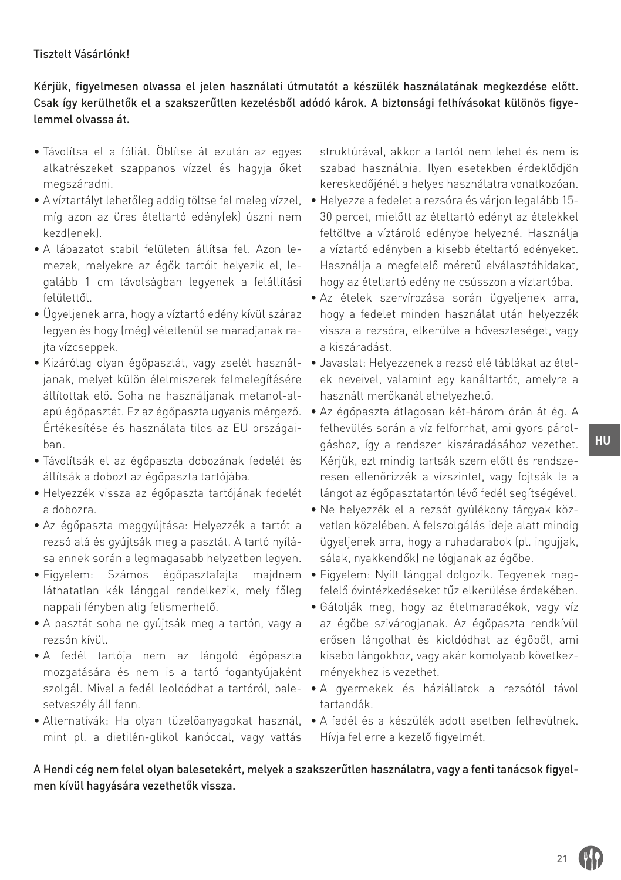### Tisztelt Vásárlónk!

Kérjük, figyelmesen olvassa el jelen használati útmutatót a készülék használatának megkezdése előtt. Csak így kerülhetők el a szakszerűtlen kezelésből adódó károk. A biztonsági felhívásokat különös figyelemmel olvassa át.

- Távolítsa el a fóliát. Öblítse át ezután az egyes alkatrészeket szappanos vízzel és hagyja őket megszáradni.
- A víztartályt lehetőleg addig töltse fel meleg vízzel, míg azon az üres ételtartó edény(ek) úszni nem kezd(enek).
- A lábazatot stabil felületen állítsa fel. Azon lemezek, melyekre az égők tartóit helyezik el, legalább 1 cm távolságban legyenek a felállítási felülettől.
- Ügyeljenek arra, hogy a víztartó edény kívül száraz legyen és hogy (még) véletlenül se maradjanak rajta vízcseppek.
- Kizárólag olyan égőpasztát, vagy zselét használjanak, melyet külön élelmiszerek felmelegítésére állítottak elő. Soha ne használjanak metanol-alapú égőpasztát. Ez az égőpaszta ugyanis mérgező. Értékesítése és használata tilos az EU országaiban.
- Távolítsák el az égőpaszta dobozának fedelét és állítsák a dobozt az égőpaszta tartójába.
- Helyezzék vissza az égőpaszta tartójának fedelét a dobozra.
- Az égőpaszta meggyújtása: Helyezzék a tartót a rezsó alá és gyújtsák meg a pasztát. A tartó nyílása ennek során a legmagasabb helyzetben legyen.
- Figyelem: Számos égőpasztafajta majdnem láthatatlan kék lánggal rendelkezik, mely főleg nappali fényben alig felismerhető.
- A pasztát soha ne gyújtsák meg a tartón, vagy a rezsón kívül.
- A fedél tartója nem az lángoló égőpaszta mozgatására és nem is a tartó fogantyújaként setveszély áll fenn.
- mint pl. a dietilén-glikol kanóccal, vagy vattás

struktúrával, akkor a tartót nem lehet és nem is szabad használnia. Ilyen esetekben érdeklődjön kereskedőjénél a helyes használatra vonatkozóan.

- Helyezze a fedelet a rezsóra és várjon legalább 15- 30 percet, mielőtt az ételtartó edényt az ételekkel feltöltve a víztároló edénybe helyezné. Használja a víztartó edényben a kisebb ételtartó edényeket. Használja a megfelelő méretű elválasztóhidakat, hogy az ételtartó edény ne csússzon a víztartóba.
- Az ételek szervírozása során ügyeljenek arra, hogy a fedelet minden használat után helyezzék vissza a rezsóra, elkerülve a hőveszteséget, vagy a kiszáradást.
- Javaslat: Helyezzenek a rezsó elé táblákat az ételek neveivel, valamint egy kanáltartót, amelyre a használt merőkanál elhelyezhető.
- Az égőpaszta átlagosan két-három órán át ég. A felhevülés során a víz felforrhat, ami gyors párolgáshoz, így a rendszer kiszáradásához vezethet. Kérjük, ezt mindig tartsák szem előtt és rendszeresen ellenőrizzék a vízszintet, vagy fojtsák le a lángot az égőpasztatartón lévő fedél segítségével.
- Ne helyezzék el a rezsót gyúlékony tárgyak közvetlen közelében. A felszolgálás ideje alatt mindig ügyeljenek arra, hogy a ruhadarabok (pl. ingujjak, sálak, nyakkendők) ne lógjanak az égőbe.
- Figyelem: Nyílt lánggal dolgozik. Tegyenek megfelelő óvintézkedéseket tűz elkerülése érdekében.
- Gátolják meg, hogy az ételmaradékok, vagy víz az égőbe szivárogjanak. Az égőpaszta rendkívül erősen lángolhat és kioldódhat az égőből, ami kisebb lángokhoz, vagy akár komolyabb következményekhez is vezethet.
- szolgál. Mivel a fedél leoldódhat a tartóról, bale-• A gyermekek és háziállatok a rezsótól távol tartandók.
- Alternatívák: Ha olyan tüzelőanyagokat használ, A fedél és a készülék adott esetben felhevülnek. Hívja fel erre a kezelő figyelmét.

A Hendi cég nem felel olyan balesetekért, melyek a szakszerűtlen használatra, vagy a fenti tanácsok figyelmen kívül hagyására vezethetők vissza.

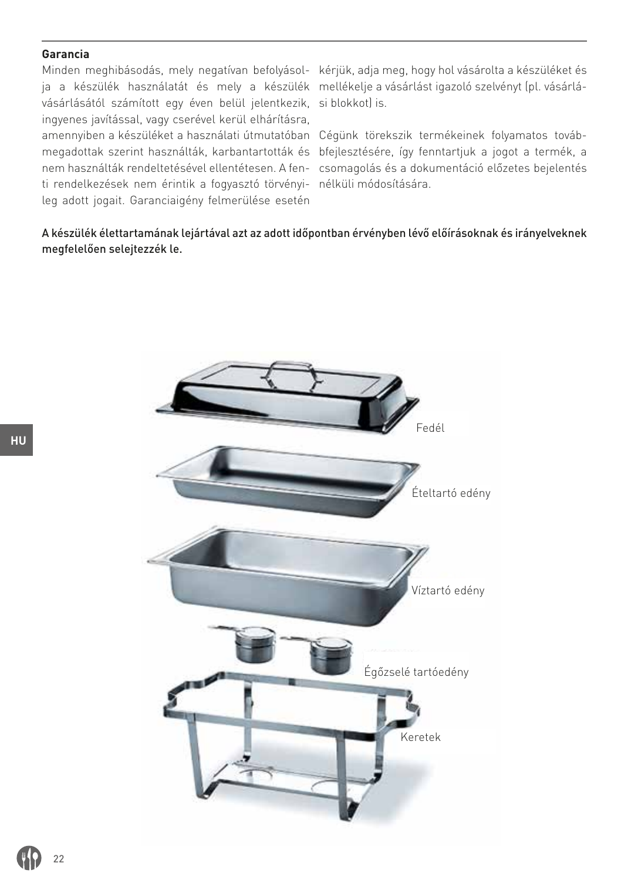#### **Garancia**

ja a készülék használatát és mely a készülék mellékelje a vásárlást igazoló szelvényt (pl. vásárlávásárlásától számított egy éven belül jelentkezik, si blokkot) is. ingyenes javítással, vagy cserével kerül elhárításra, amennyiben a készüléket a használati útmutatóban Cégünk törekszik termékeinek folyamatos továbti rendelkezések nem érintik a fogyasztó törvényi-nélküli módosítására. leg adott jogait. Garanciaigény felmerülése esetén

Minden meghibásodás, mely negatívan befolyásol-kérjük, adja meg, hogy hol vásárolta a készüléket és

megadottak szerint használták, karbantartották és bfejlesztésére, így fenntartjuk a jogot a termék, a nem használták rendeltetésével ellentétesen. A fen-csomagolás és a dokumentáció előzetes bejelentés

A készülék élettartamának lejártával azt az adott időpontban érvényben lévő előírásoknak és irányelveknek megfelelően selejtezzék le.

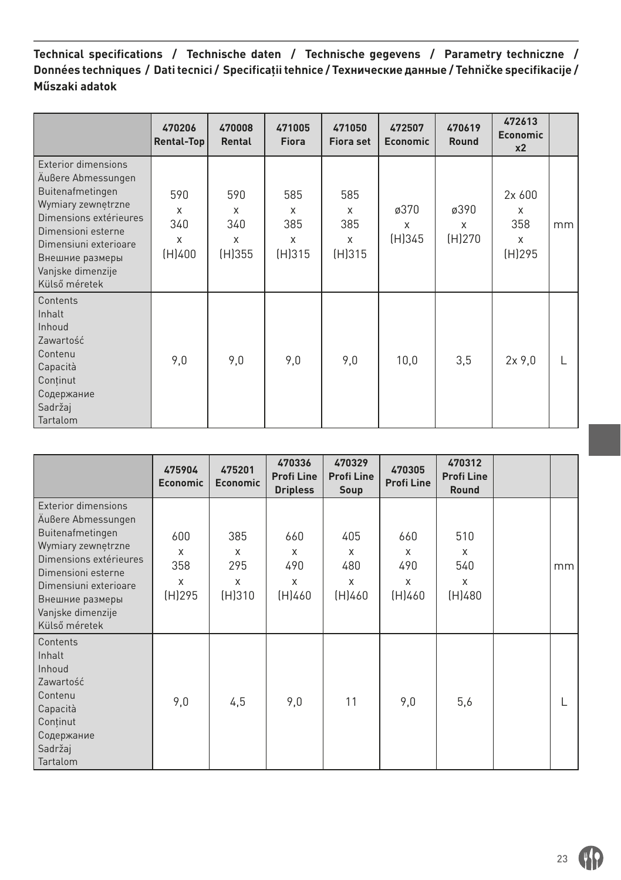**Technical specifications / Technische daten / Technische gegevens / Parametry techniczne / Données techniques / Dati tecnici / Specificaţii tehnice / Технические данные / Tehničke specifikacije / Műszaki adatok**

|                                                                                                                                                                                                                              | 470206<br>Rental-Top           | 470008<br>Rental                      | 471005<br><b>Fiora</b>                           | 471050<br><b>Fiora set</b>                       | 472507<br><b>Economic</b> | 470619<br>Round     | 472613<br><b>Economic</b><br>x <sub>2</sub>     |    |
|------------------------------------------------------------------------------------------------------------------------------------------------------------------------------------------------------------------------------|--------------------------------|---------------------------------------|--------------------------------------------------|--------------------------------------------------|---------------------------|---------------------|-------------------------------------------------|----|
| <b>Exterior dimensions</b><br>Außere Abmessungen<br>Buitenafmetingen<br>Wymiary zewnętrzne<br>Dimensions extérieures<br>Dimensioni esterne<br>Dimensiuni exterioare<br>Внешние размеры<br>Vanjske dimenzije<br>Külső méretek | 590<br>X<br>340<br>X<br>(H)400 | 590<br>$\times$<br>340<br>X<br>(H)355 | 585<br>$\times$<br>385<br>$\mathsf{x}$<br>(H)315 | 585<br>$\times$<br>385<br>$\mathsf{x}$<br>(H)315 | ø370<br>X<br>(H)345       | ø390<br>X<br>(H)270 | 2x 600<br>$\times$<br>358<br>$\times$<br>(H)295 | mm |
| Contents<br>Inhalt<br>Inhoud<br>Zawartość<br>Contenu<br>Capacità<br>Continut<br>Содержание<br>Sadržaj<br>Tartalom                                                                                                            | 9,0                            | 9,0                                   | 9,0                                              | 9,0                                              | 10,0                      | 3,5                 | 2x9.0                                           |    |

|                                                                                                                                                                                                                       | 475904<br><b>Economic</b>      | 475201<br><b>Economic</b>             | 470336<br><b>Profi Line</b><br><b>Dripless</b> | 470329<br><b>Profi Line</b><br>Soup | 470305<br><b>Profi Line</b>    | 470312<br><b>Profi Line</b><br><b>Round</b> |    |
|-----------------------------------------------------------------------------------------------------------------------------------------------------------------------------------------------------------------------|--------------------------------|---------------------------------------|------------------------------------------------|-------------------------------------|--------------------------------|---------------------------------------------|----|
| Exterior dimensions<br>Außere Abmessungen<br>Buitenafmetingen<br>Wymiary zewnętrzne<br>Dimensions extérieures<br>Dimensioni esterne<br>Dimensiuni exterioare<br>Внешние размеры<br>Vanjske dimenzije<br>Külső méretek | 600<br>X<br>358<br>X<br>(H)295 | 385<br>$\times$<br>295<br>X<br>(H)310 | 660<br>X<br>490<br>X<br>(H)460                 | 405<br>X<br>480<br>X<br>(H)460      | 660<br>X<br>490<br>X<br>(H)460 | 510<br>X<br>540<br>X<br>(H)480              | mm |
| Contents<br>Inhalt<br>Inhoud<br>Zawartość<br>Contenu<br>Capacità<br>Continut<br>Содержание<br>Sadržaj<br>Tartalom                                                                                                     | 9,0                            | 4,5                                   | 9,0                                            | 11                                  | 9,0                            | 5,6                                         |    |